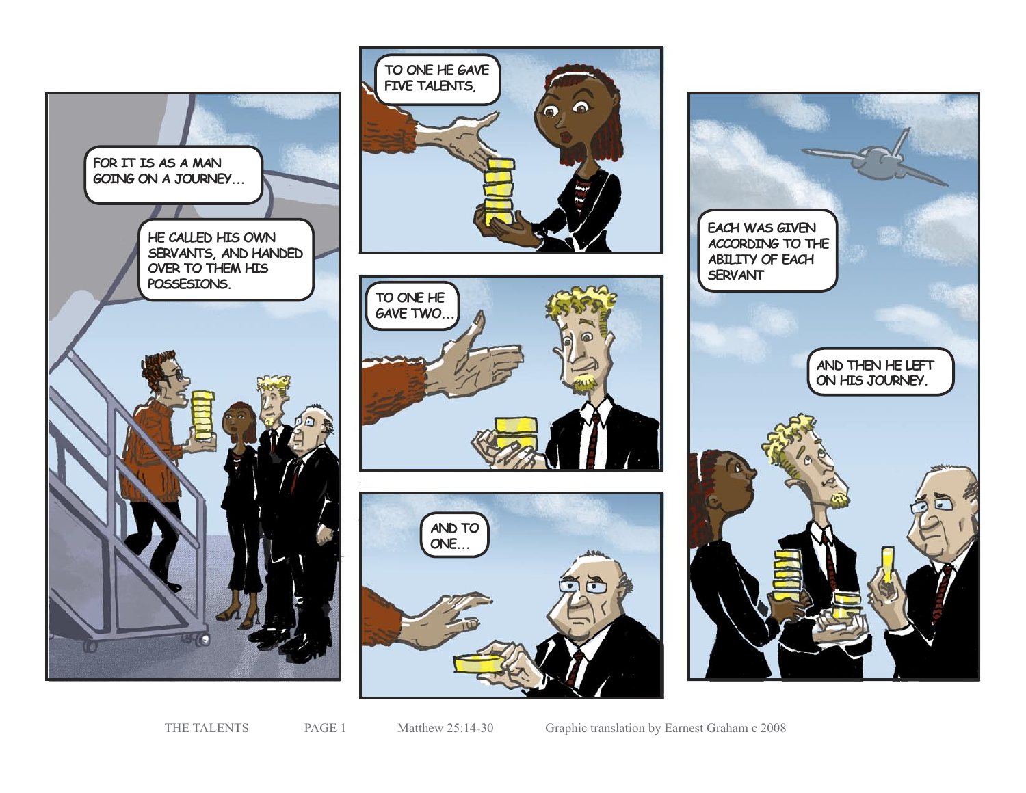









THE TALENTS PAGE 1 Matthew 25:14-30 Graphic translation by Earnest Graham c 2008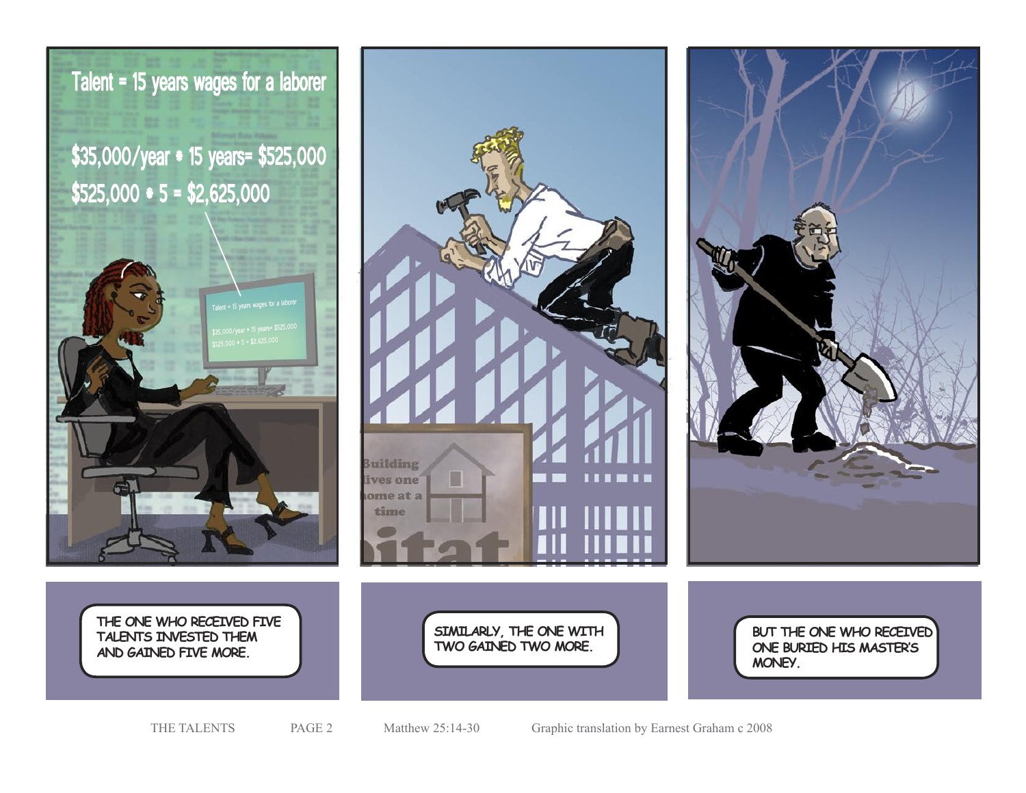

\$35,000/year \* 15 years= \$525,000  $$525,000 * 5 = $2,625,000$ 



**THE ONE WHO RECEIVED FIVE TALENTS INVESTED THEM AND GAINED FIVE MORE.**





**SIMILARLY, THE ONE WITH TWO GAINED TWO MORE.**

**BUT THE ONE WHO RECEIVED ONE BURIED HIS MASTER'S MONEY.**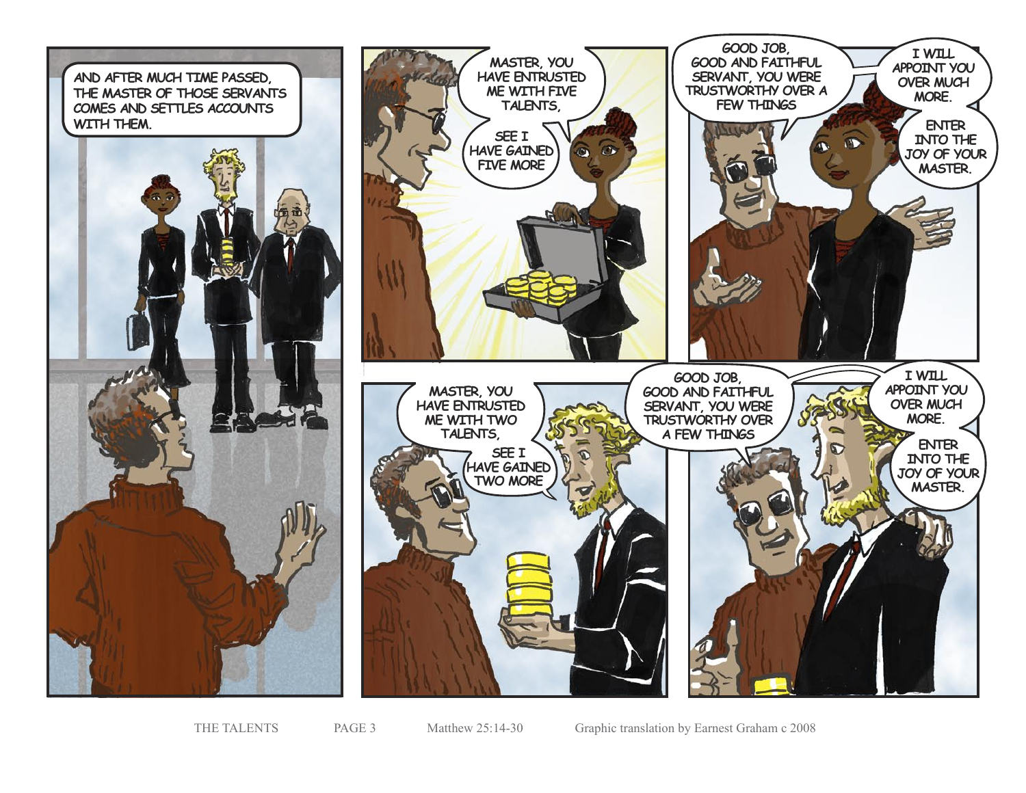



THE TALENTS PAGE 3 Matthew 25:14-30 Graphic translation by Earnest Graham c 2008